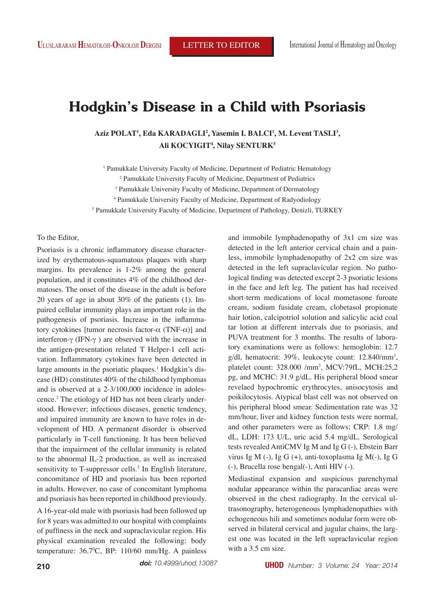# **Hodgkin's Disease in a Child with Psoriasis**

Aziz POLAT<sup>1</sup>, Eda KARADAGLI<sup>2</sup>, Yasemin I. BALCI<sup>1</sup>, M. Levent TASLI<sup>3</sup>, **Ali KOCYIGIT4 , Nilay SENTURK5**

<sup>1</sup> Pamukkale University Faculty of Medicine, Department of Pediatric Hematology

2 Pamukkale University Faculty of Medicine, Department of Pediatrics

3 Pamukkale University Faculty of Medicine, Department of Dermatology

4 Pamukkale University Faculty of Medicine, Department of Radyodiology

5 Pamukkale University Faculty of Medicine, Department of Pathology, Denizli, TURKEY

## To the Editor,

Psoriasis is a chronic inflammatory disease characterized by erythematous-squamatous plaques with sharp margins. Its prevalence is 1-2% among the general population, and it constitutes 4% of the childhood dermatoses. The onset of the disease in the adult is before 20 years of age in about 30% of the patients (1). Impaired cellular immunity plays an important role in the pathogenesis of psoriasis. Increase in the inflammatory cytokines [tumor necrosis factor-α (TNF-α)] and interferon-γ (IFN-γ ) are observed with the increase in the antigen-presentation related T Helper-1 cell activation. Inflammatory cytokines have been detected in large amounts in the psoriatic plaques.<sup>1</sup> Hodgkin's disease (HD) constitutes 40% of the childhood lymphomas and is observed at a 2-3/100,000 incidence in adolescence.2 The etiology of HD has not been clearly understood. However; infectious diseases, genetic tendency, and impaired immunity are known to have roles in development of HD. A permanent disorder is observed particularly in T-cell functioning. It has been believed that the impairment of the cellular immunity is related to the abnormal IL-2 production, as well as increased sensitivity to T-suppressor cells.<sup>3</sup> In English literature, concomitance of HD and psoriasis has been reported in adults. However, no case of concomitant lymphoma and psoriasis has been reported in childhood previously.

A 16-year-old male with psoriasis had been followed up for 8 years was admitted to our hospital with complaints of puffiness in the neck and supraclavicular region. His physical examination revealed the following: body temperature: 36.7°C, BP: 110/60 mm/Hg. A painless

and immobile lymphadenopathy of 3x1 cm size was detected in the left anterior cervical chain and a painless, immobile lymphadenopathy of 2x2 cm size was detected in the left supraclavicular region. No pathological finding was detected except 2-3 psoriatic lesions in the face and left leg. The patient has had received short-term medications of local mometasone furoate cream, sodium fusidate cream, clobetasol propionate hair lotion, calcipotriol solution and salicylic acid coal tar lotion at different intervals due to psoriasis, and PUVA treatment for 3 months. The results of laboratory examinations were as follows: hemoglobin: 12.7 g/dl, hematocrit: 39%, leukocyte count: 12.840/mm3 , platelet count: 328.000 /mm3 , MCV:79fL, MCH:25,2 pg, and MCHC: 31.9 g/dL. His peripheral blood smear revelaed hypochromic erythrocytes, anisocytosis and poikilocytosis. Atypical blast cell was not observed on his peripheral blood smear. Sedimentation rate was 32 mm/hour, liver and kidney function tests were normal, and other parameters were as follows; CRP: 1.8 mg/ dL, LDH: 173 U/L, uric acid 5.4 mg/dL. Serological tests revealed AntiCMV Ig M and Ig G (-), Ebstein Barr virus Ig M (-), Ig G (+), anti-toxoplasma Ig M(-), Ig G (-), Brucella rose bengal(-), Anti HIV (-).

Mediastinal expansion and suspicious parenchymal nodular appearance within the paracardiac areas were observed in the chest radiography. In the cervical ultrasonography, heterogeneous lymphadenopathies with echogeneous hili and sometimes nodular form were observed in bilateral cervical and jugular chains, the largest one was located in the left supraclavicular region with a 3.5 cm size.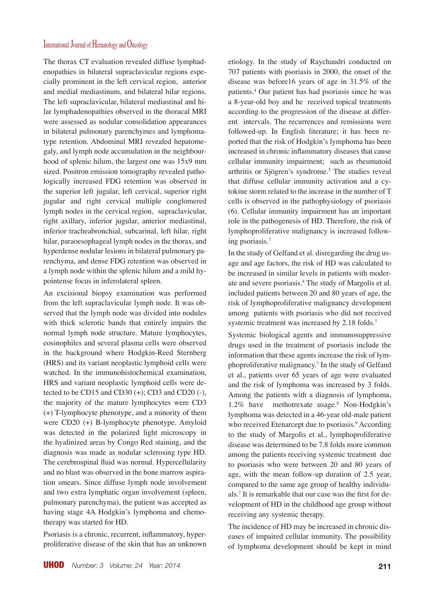# International Journal of Hematology and Oncology

The thorax CT evaluation revealed diffuse lymphadenopathies in bilateral supraclavicular regions especially prominent in the left cervical region, anterior and medial mediastinum, and bilateral hilar regions. The left supraclavicular, bilateral mediastinal and hilar lymphadenopathies observed in the thoracal MRI were assessed as nodular consolidation appearances in bilateral pulmonary parenchymes and lymphomatype retention. Abdominal MRI revealed hepatomegaly, and lymph node accumulation in the neighbourhood of splenic hilum, the largest one was 15x9 mm sized. Positron emission tomography revealed pathologically increased FDG retention was observed in the superior left jugular, left cervical, superior right jugular and right cervical multiple conglomered lymph nodes in the cervical region, supraclavicular, right axillary, inferior jugular, anterior mediastinal, inferior tracheabronchial, subcarinal, left hilar, right hilar, paraoesophageal lymph nodes in the thorax, and hyperdense nodular lesions in bilateral pulmonary parenchyma, and dense FDG retention was observed in a lymph node within the splenic hilum and a mild hypointense focus in inferolateral spleen.

An excisional biopsy examination was performed from the left supraclavicular lymph node. It was observed that the lymph node was divided into nodules with thick sclerotic bands that entirely impairs the normal lymph node structure. Mature lymphocytes, eosinophiles and several plasma cells were observed in the background where Hodgkin-Reed Sternberg (HRS) and its variant neoplastic lymphoid cells were watched. In the immunohistochemical examination, HRS and variant neoplastic lymphoid cells were detected to be CD15 and CD30  $(+)$ ; CD3 and CD20 $(-)$ , the majority of the mature lymphocytes were CD3 (+) T-lymphocyte phenotype, and a minority of them were CD20 (+) B-lymphocyte phenotype. Amyloid was detected in the polarized light microscopy in the hyalinized areas by Congo Red staining, and the diagnosis was made as nodular sclerosing type HD. The cerebrospinal fluid was normal. Hypercellularity and no blast was observed in the bone marrow aspiration smears. Since diffuse lymph node involvement and two extra lymphatic organ involvement (spleen, pulmonary parenchyma), the patient was accepted as having stage 4A Hodgkin's lymphoma and chemotherapy was started for HD.

Psoriasis is a chronic, recurrent, inflammatory, hyperproliferative disease of the skin that has an unknown etiology. In the study of Raychaudri conducted on 707 patients with psoriasis in 2000, the onset of the disease was before16 years of age in 31.5% of the patients.4 Our patient has had psoriasis since he was a 8-year-old boy and he received topical treatments according to the progression of the disease at different intervals. The recurrences and remissions were followed-up. In English literature; it has been reported that the risk of Hodgkin's lymphoma has been increased in chronic inflammatory diseases that cause cellular immunity impairment; such as rheumatoid arthritis or Sjögren's syndrome.5 The studies reveal that diffuse cellular immunity activation and a cytokine storm related to the increase in the number of T cells is observed in the pathophysiology of psoriasis (6). Cellular immunity impairment has an important role in the pathogenesis of HD. Therefore, the risk of lymphoproliferative malignancy is increased following psoriasis.7

In the study of Gelfand et al. disregarding the drug usage and age factors, the risk of HD was calculated to be increased in similar levels in patients with moderate and severe psoriasis.<sup>8</sup> The study of Margolis et al. included patients between 20 and 80 years of age, the risk of lymphoproliferative malignancy development among patients with psoriasis who did not received systemic treatment was increased by 2.18 folds.<sup>7</sup>

Systemic biological agents and immunosuppressive drugs used in the treatment of psoriasis include the information that these agents increase the risk of lymphoproliferative malignancy.7 In the study of Gelfand et al., patients over 65 years of age were evaluated and the risk of lymphoma was increased by 3 folds. Among the patients with a diagnosis of lymphoma, 1.2% have methotrexate usage.8 Non-Hodgkin's lymphoma was detected in a 46-year old-male patient who received Etenarcept due to psoriasis.<sup>9</sup> According to the study of Margolis et al., lymphoproliferative disease was determined to be 7.8 folds more common among the patients receiving systemic treatment due to psoriasis who were between 20 and 80 years of age, with the mean follow-up duration of 2.5 year, compared to the same age group of healthy individuals.7 It is remarkable that our case was the first for development of HD in the childhood age group without receiving any systemic therapy.

The incidence of HD may be increased in chronic diseases of impaired cellular immunity. The possibility of lymphoma development should be kept in mind